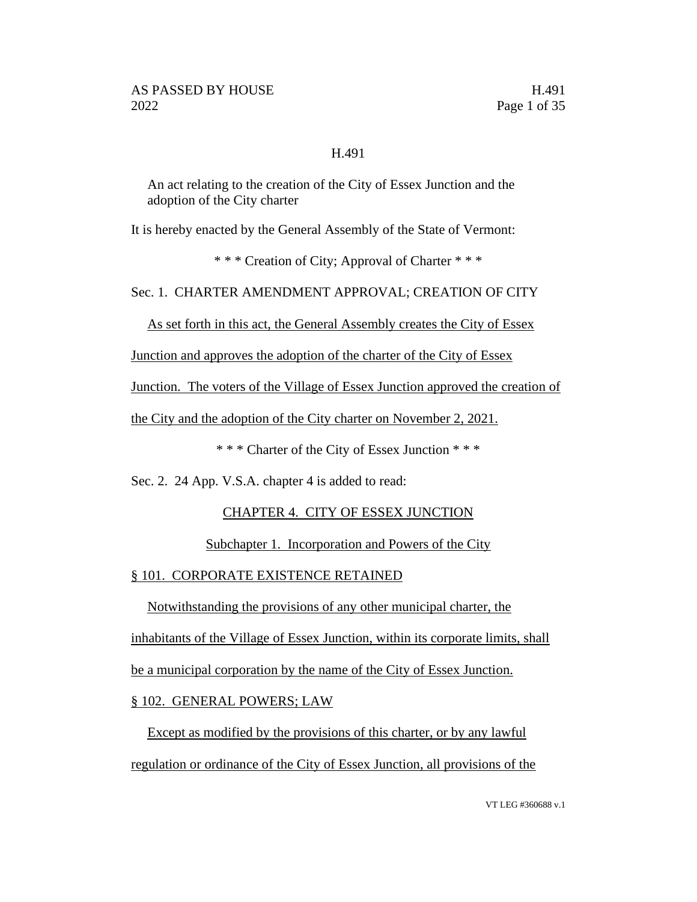## H.491

An act relating to the creation of the City of Essex Junction and the adoption of the City charter

It is hereby enacted by the General Assembly of the State of Vermont:

\* \* \* Creation of City; Approval of Charter \* \* \*

Sec. 1. CHARTER AMENDMENT APPROVAL; CREATION OF CITY

As set forth in this act, the General Assembly creates the City of Essex

Junction and approves the adoption of the charter of the City of Essex

Junction. The voters of the Village of Essex Junction approved the creation of

the City and the adoption of the City charter on November 2, 2021.

\* \* \* Charter of the City of Essex Junction \* \* \*

Sec. 2. 24 App. V.S.A. chapter 4 is added to read:

# CHAPTER 4. CITY OF ESSEX JUNCTION

# Subchapter 1. Incorporation and Powers of the City

# § 101. CORPORATE EXISTENCE RETAINED

Notwithstanding the provisions of any other municipal charter, the

inhabitants of the Village of Essex Junction, within its corporate limits, shall

be a municipal corporation by the name of the City of Essex Junction.

# § 102. GENERAL POWERS; LAW

Except as modified by the provisions of this charter, or by any lawful regulation or ordinance of the City of Essex Junction, all provisions of the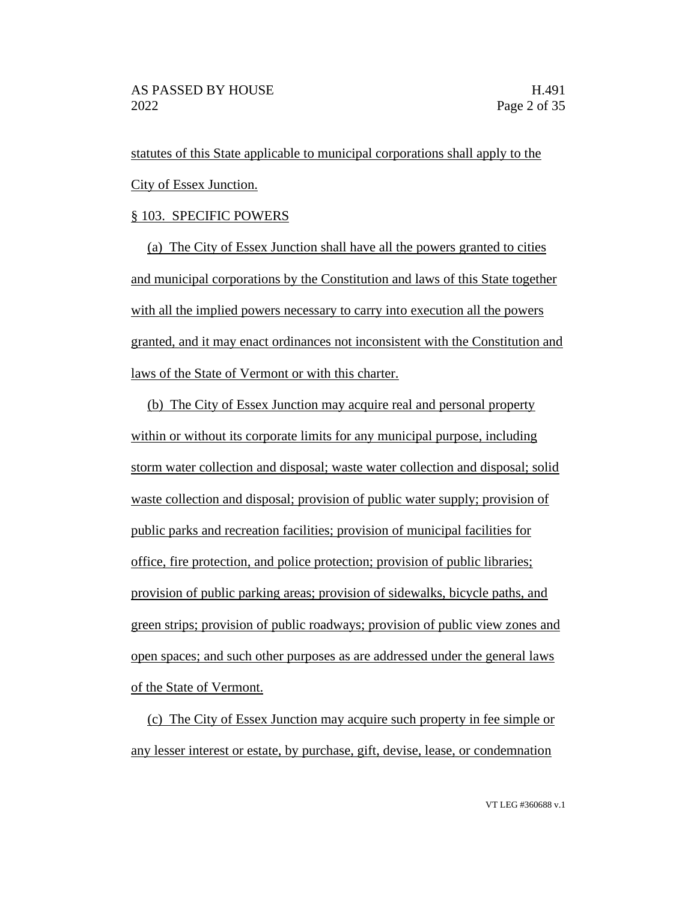statutes of this State applicable to municipal corporations shall apply to the City of Essex Junction.

## § 103. SPECIFIC POWERS

(a) The City of Essex Junction shall have all the powers granted to cities and municipal corporations by the Constitution and laws of this State together with all the implied powers necessary to carry into execution all the powers granted, and it may enact ordinances not inconsistent with the Constitution and laws of the State of Vermont or with this charter.

(b) The City of Essex Junction may acquire real and personal property within or without its corporate limits for any municipal purpose, including storm water collection and disposal; waste water collection and disposal; solid waste collection and disposal; provision of public water supply; provision of public parks and recreation facilities; provision of municipal facilities for office, fire protection, and police protection; provision of public libraries; provision of public parking areas; provision of sidewalks, bicycle paths, and green strips; provision of public roadways; provision of public view zones and open spaces; and such other purposes as are addressed under the general laws of the State of Vermont.

(c) The City of Essex Junction may acquire such property in fee simple or any lesser interest or estate, by purchase, gift, devise, lease, or condemnation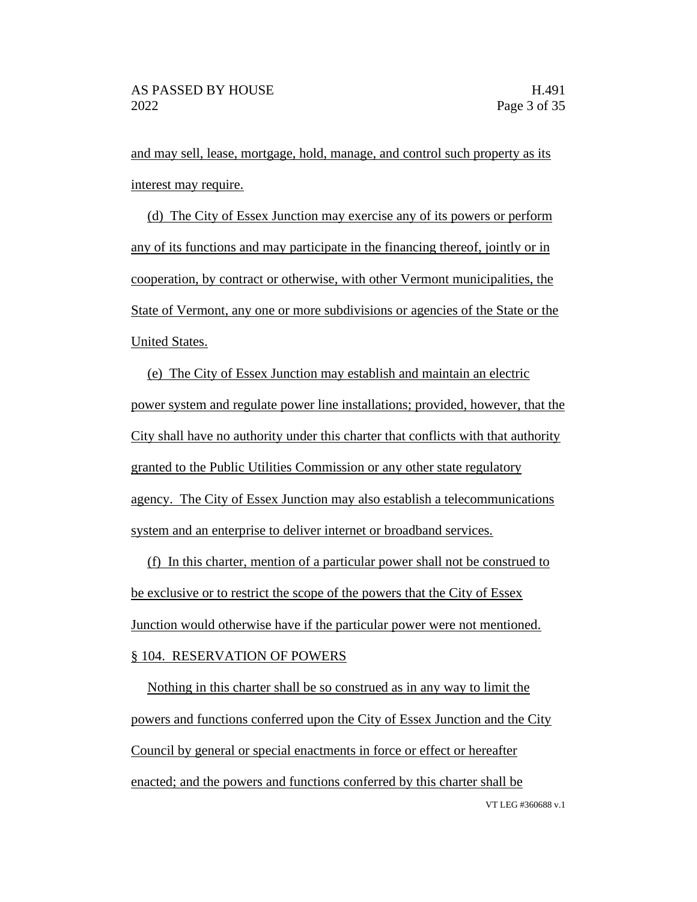and may sell, lease, mortgage, hold, manage, and control such property as its interest may require.

(d) The City of Essex Junction may exercise any of its powers or perform any of its functions and may participate in the financing thereof, jointly or in cooperation, by contract or otherwise, with other Vermont municipalities, the State of Vermont, any one or more subdivisions or agencies of the State or the United States.

(e) The City of Essex Junction may establish and maintain an electric power system and regulate power line installations; provided, however, that the City shall have no authority under this charter that conflicts with that authority granted to the Public Utilities Commission or any other state regulatory agency. The City of Essex Junction may also establish a telecommunications system and an enterprise to deliver internet or broadband services.

(f) In this charter, mention of a particular power shall not be construed to be exclusive or to restrict the scope of the powers that the City of Essex Junction would otherwise have if the particular power were not mentioned. § 104. RESERVATION OF POWERS

VT LEG #360688 v.1 Nothing in this charter shall be so construed as in any way to limit the powers and functions conferred upon the City of Essex Junction and the City Council by general or special enactments in force or effect or hereafter enacted; and the powers and functions conferred by this charter shall be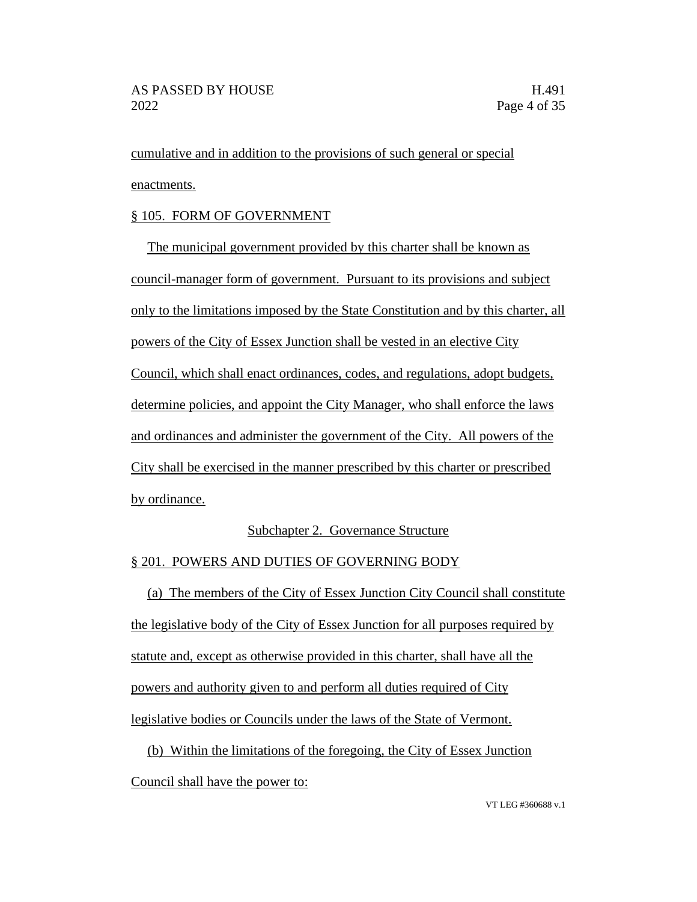cumulative and in addition to the provisions of such general or special enactments.

# § 105. FORM OF GOVERNMENT

The municipal government provided by this charter shall be known as council-manager form of government. Pursuant to its provisions and subject only to the limitations imposed by the State Constitution and by this charter, all powers of the City of Essex Junction shall be vested in an elective City Council, which shall enact ordinances, codes, and regulations, adopt budgets, determine policies, and appoint the City Manager, who shall enforce the laws and ordinances and administer the government of the City. All powers of the City shall be exercised in the manner prescribed by this charter or prescribed by ordinance.

# Subchapter 2. Governance Structure

# § 201. POWERS AND DUTIES OF GOVERNING BODY

(a) The members of the City of Essex Junction City Council shall constitute the legislative body of the City of Essex Junction for all purposes required by statute and, except as otherwise provided in this charter, shall have all the powers and authority given to and perform all duties required of City legislative bodies or Councils under the laws of the State of Vermont.

(b) Within the limitations of the foregoing, the City of Essex Junction Council shall have the power to: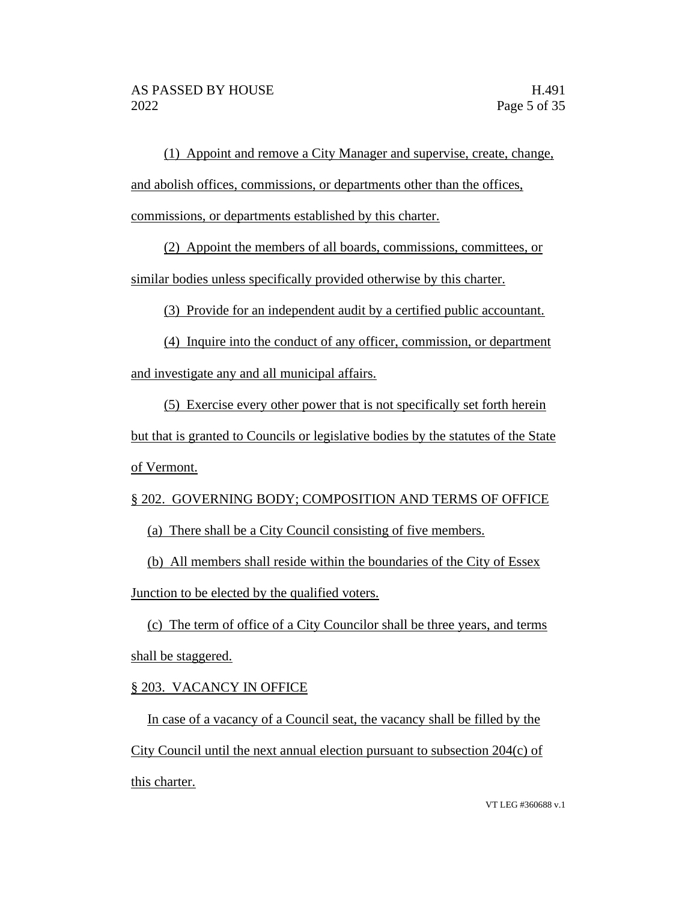(1) Appoint and remove a City Manager and supervise, create, change, and abolish offices, commissions, or departments other than the offices, commissions, or departments established by this charter.

(2) Appoint the members of all boards, commissions, committees, or

similar bodies unless specifically provided otherwise by this charter.

(3) Provide for an independent audit by a certified public accountant.

(4) Inquire into the conduct of any officer, commission, or department and investigate any and all municipal affairs.

(5) Exercise every other power that is not specifically set forth herein but that is granted to Councils or legislative bodies by the statutes of the State of Vermont.

# § 202. GOVERNING BODY; COMPOSITION AND TERMS OF OFFICE

(a) There shall be a City Council consisting of five members.

(b) All members shall reside within the boundaries of the City of Essex Junction to be elected by the qualified voters.

(c) The term of office of a City Councilor shall be three years, and terms shall be staggered.

# § 203. VACANCY IN OFFICE

In case of a vacancy of a Council seat, the vacancy shall be filled by the City Council until the next annual election pursuant to subsection 204(c) of this charter.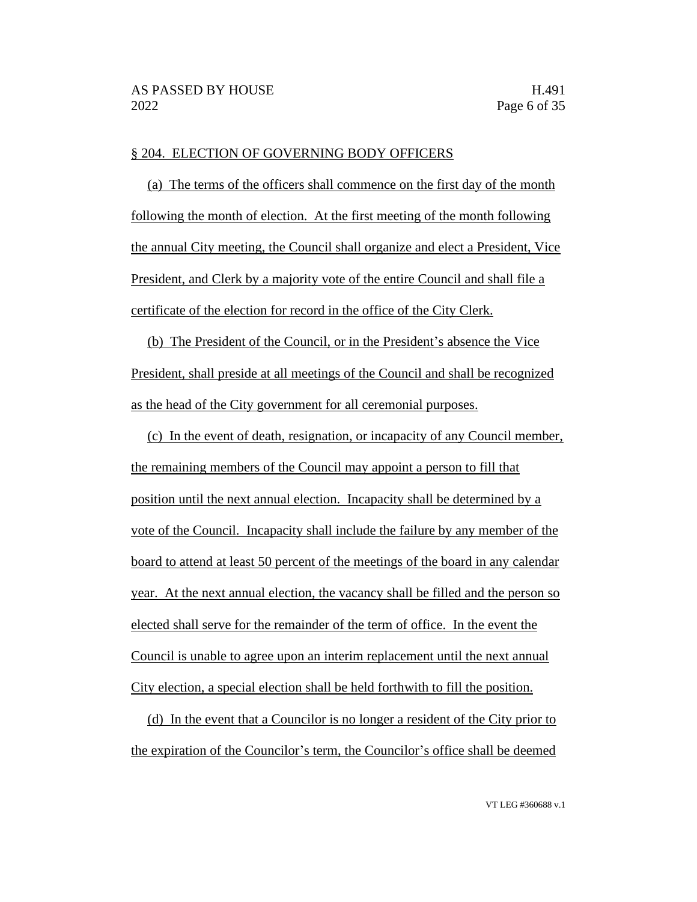#### § 204. ELECTION OF GOVERNING BODY OFFICERS

(a) The terms of the officers shall commence on the first day of the month following the month of election. At the first meeting of the month following the annual City meeting, the Council shall organize and elect a President, Vice President, and Clerk by a majority vote of the entire Council and shall file a certificate of the election for record in the office of the City Clerk.

(b) The President of the Council, or in the President's absence the Vice President, shall preside at all meetings of the Council and shall be recognized as the head of the City government for all ceremonial purposes.

(c) In the event of death, resignation, or incapacity of any Council member, the remaining members of the Council may appoint a person to fill that position until the next annual election. Incapacity shall be determined by a vote of the Council. Incapacity shall include the failure by any member of the board to attend at least 50 percent of the meetings of the board in any calendar year. At the next annual election, the vacancy shall be filled and the person so elected shall serve for the remainder of the term of office. In the event the Council is unable to agree upon an interim replacement until the next annual City election, a special election shall be held forthwith to fill the position.

(d) In the event that a Councilor is no longer a resident of the City prior to the expiration of the Councilor's term, the Councilor's office shall be deemed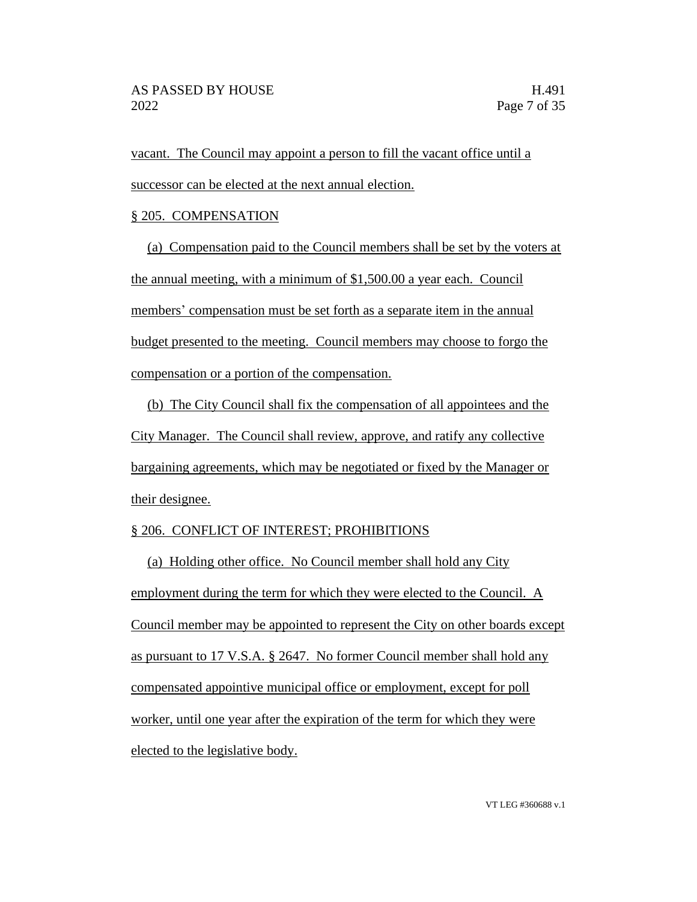vacant. The Council may appoint a person to fill the vacant office until a successor can be elected at the next annual election.

## § 205. COMPENSATION

(a) Compensation paid to the Council members shall be set by the voters at the annual meeting, with a minimum of \$1,500.00 a year each. Council members' compensation must be set forth as a separate item in the annual budget presented to the meeting. Council members may choose to forgo the compensation or a portion of the compensation.

(b) The City Council shall fix the compensation of all appointees and the City Manager. The Council shall review, approve, and ratify any collective bargaining agreements, which may be negotiated or fixed by the Manager or their designee.

# § 206. CONFLICT OF INTEREST; PROHIBITIONS

(a) Holding other office. No Council member shall hold any City employment during the term for which they were elected to the Council. A Council member may be appointed to represent the City on other boards except as pursuant to 17 V.S.A. § 2647. No former Council member shall hold any compensated appointive municipal office or employment, except for poll worker, until one year after the expiration of the term for which they were elected to the legislative body.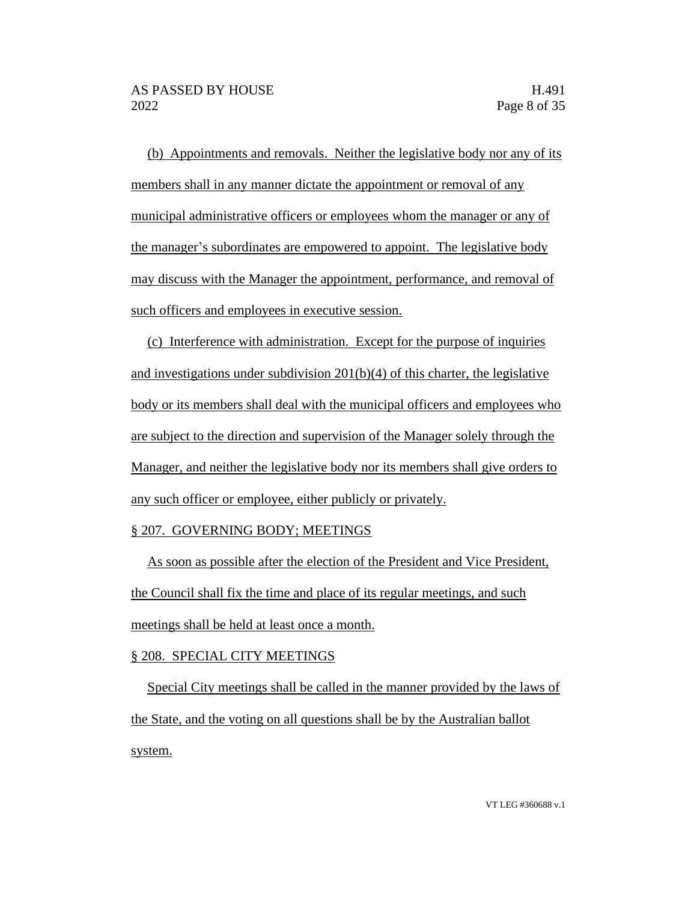(b) Appointments and removals. Neither the legislative body nor any of its members shall in any manner dictate the appointment or removal of any municipal administrative officers or employees whom the manager or any of the manager's subordinates are empowered to appoint. The legislative body may discuss with the Manager the appointment, performance, and removal of such officers and employees in executive session.

(c) Interference with administration. Except for the purpose of inquiries and investigations under subdivision 201(b)(4) of this charter, the legislative body or its members shall deal with the municipal officers and employees who are subject to the direction and supervision of the Manager solely through the Manager, and neither the legislative body nor its members shall give orders to any such officer or employee, either publicly or privately.

## § 207. GOVERNING BODY; MEETINGS

As soon as possible after the election of the President and Vice President, the Council shall fix the time and place of its regular meetings, and such meetings shall be held at least once a month.

#### § 208. SPECIAL CITY MEETINGS

Special City meetings shall be called in the manner provided by the laws of the State, and the voting on all questions shall be by the Australian ballot system.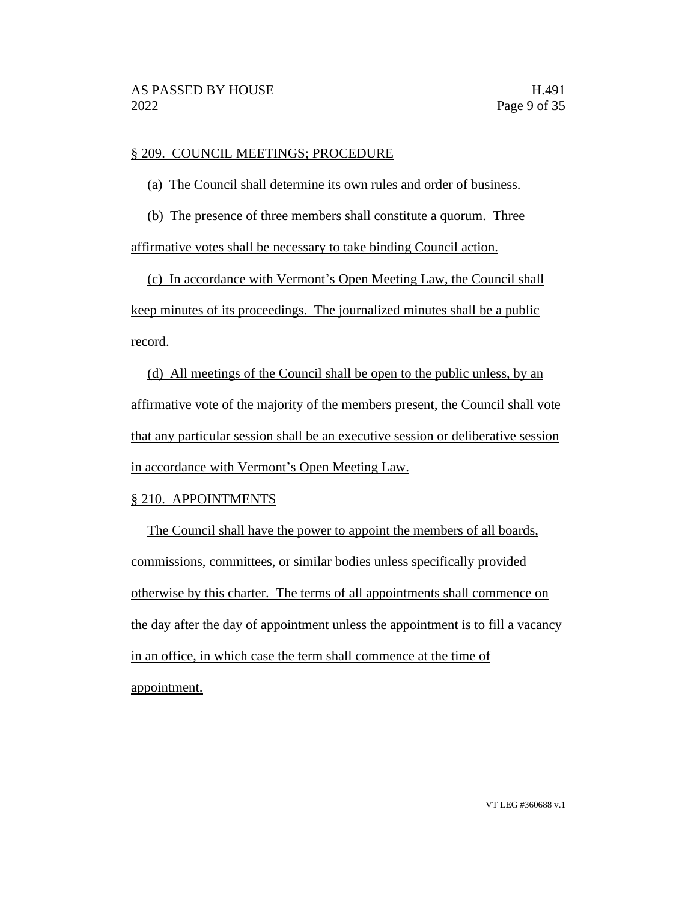## § 209. COUNCIL MEETINGS; PROCEDURE

(a) The Council shall determine its own rules and order of business.

(b) The presence of three members shall constitute a quorum. Three

affirmative votes shall be necessary to take binding Council action.

(c) In accordance with Vermont's Open Meeting Law, the Council shall keep minutes of its proceedings. The journalized minutes shall be a public record.

(d) All meetings of the Council shall be open to the public unless, by an affirmative vote of the majority of the members present, the Council shall vote that any particular session shall be an executive session or deliberative session in accordance with Vermont's Open Meeting Law.

# § 210. APPOINTMENTS

The Council shall have the power to appoint the members of all boards, commissions, committees, or similar bodies unless specifically provided otherwise by this charter. The terms of all appointments shall commence on the day after the day of appointment unless the appointment is to fill a vacancy in an office, in which case the term shall commence at the time of appointment.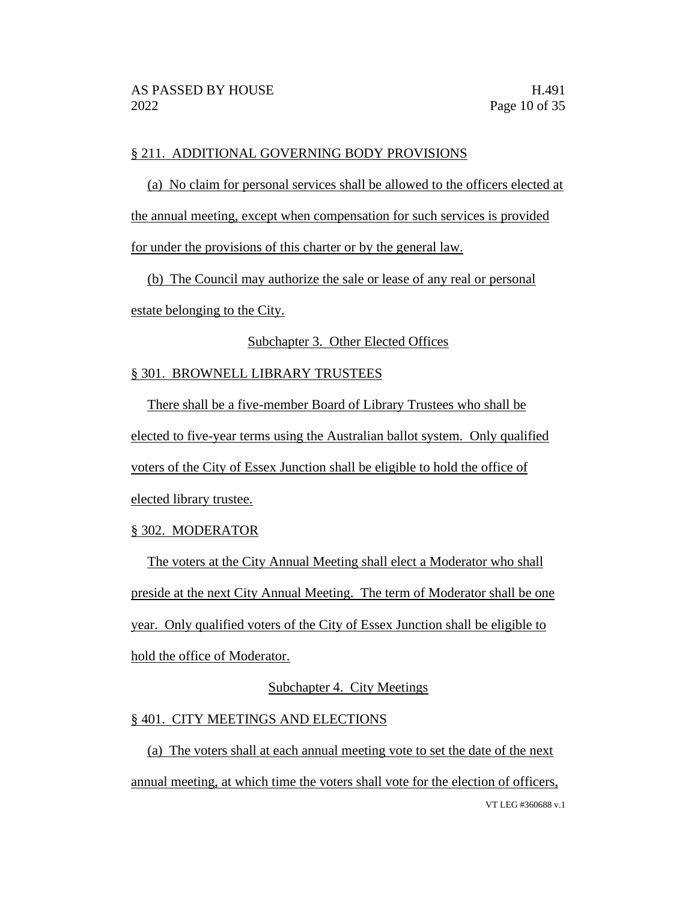## § 211. ADDITIONAL GOVERNING BODY PROVISIONS

(a) No claim for personal services shall be allowed to the officers elected at the annual meeting, except when compensation for such services is provided

for under the provisions of this charter or by the general law.

(b) The Council may authorize the sale or lease of any real or personal

estate belonging to the City.

## Subchapter 3. Other Elected Offices

## § 301. BROWNELL LIBRARY TRUSTEES

There shall be a five-member Board of Library Trustees who shall be elected to five-year terms using the Australian ballot system. Only qualified voters of the City of Essex Junction shall be eligible to hold the office of elected library trustee.

## § 302. MODERATOR

The voters at the City Annual Meeting shall elect a Moderator who shall preside at the next City Annual Meeting. The term of Moderator shall be one year. Only qualified voters of the City of Essex Junction shall be eligible to hold the office of Moderator.

# Subchapter 4. City Meetings

## § 401. CITY MEETINGS AND ELECTIONS

VT LEG #360688 v.1 (a) The voters shall at each annual meeting vote to set the date of the next annual meeting, at which time the voters shall vote for the election of officers,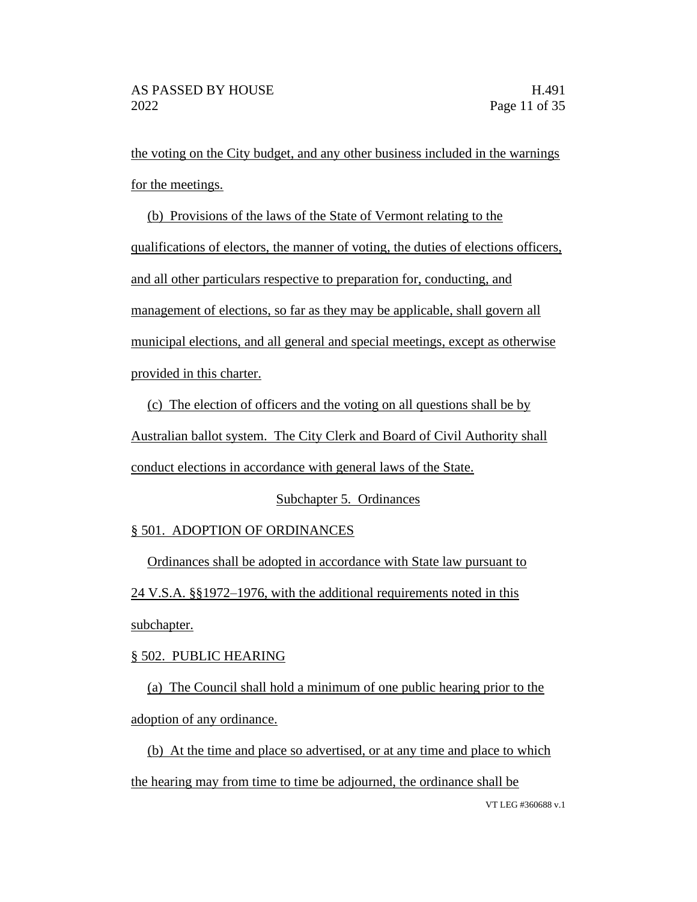the voting on the City budget, and any other business included in the warnings for the meetings.

(b) Provisions of the laws of the State of Vermont relating to the qualifications of electors, the manner of voting, the duties of elections officers, and all other particulars respective to preparation for, conducting, and management of elections, so far as they may be applicable, shall govern all municipal elections, and all general and special meetings, except as otherwise provided in this charter.

(c) The election of officers and the voting on all questions shall be by Australian ballot system. The City Clerk and Board of Civil Authority shall conduct elections in accordance with general laws of the State.

# Subchapter 5. Ordinances

# § 501. ADOPTION OF ORDINANCES

Ordinances shall be adopted in accordance with State law pursuant to 24 V.S.A. §§1972–1976, with the additional requirements noted in this subchapter.

# § 502. PUBLIC HEARING

(a) The Council shall hold a minimum of one public hearing prior to the adoption of any ordinance.

(b) At the time and place so advertised, or at any time and place to which the hearing may from time to time be adjourned, the ordinance shall be

VT LEG #360688 v.1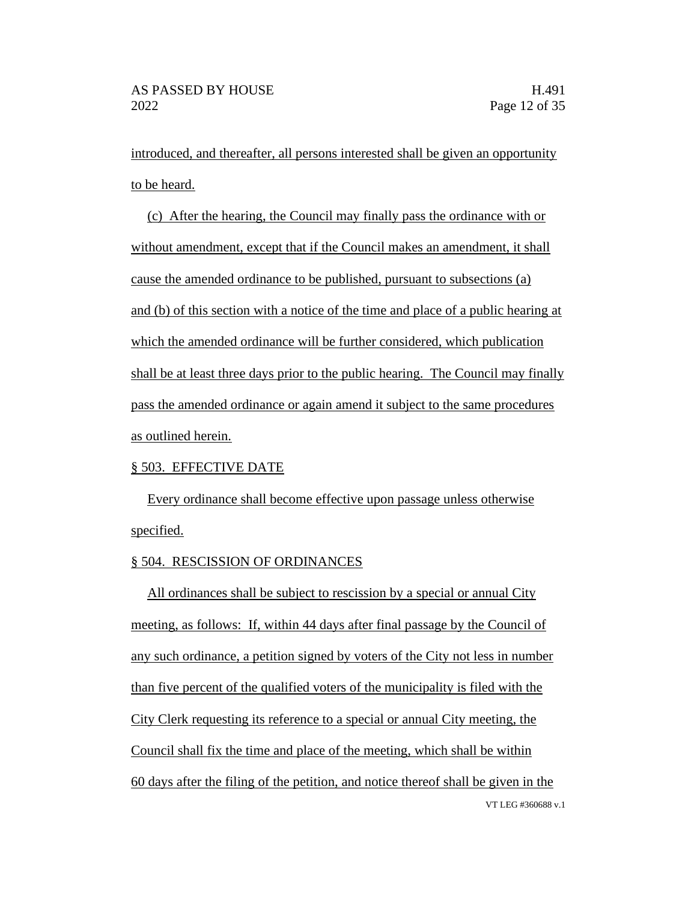introduced, and thereafter, all persons interested shall be given an opportunity to be heard.

(c) After the hearing, the Council may finally pass the ordinance with or without amendment, except that if the Council makes an amendment, it shall cause the amended ordinance to be published, pursuant to subsections (a) and (b) of this section with a notice of the time and place of a public hearing at which the amended ordinance will be further considered, which publication shall be at least three days prior to the public hearing. The Council may finally pass the amended ordinance or again amend it subject to the same procedures as outlined herein.

## § 503. EFFECTIVE DATE

Every ordinance shall become effective upon passage unless otherwise specified.

## § 504. RESCISSION OF ORDINANCES

VT LEG #360688 v.1 All ordinances shall be subject to rescission by a special or annual City meeting, as follows: If, within 44 days after final passage by the Council of any such ordinance, a petition signed by voters of the City not less in number than five percent of the qualified voters of the municipality is filed with the City Clerk requesting its reference to a special or annual City meeting, the Council shall fix the time and place of the meeting, which shall be within 60 days after the filing of the petition, and notice thereof shall be given in the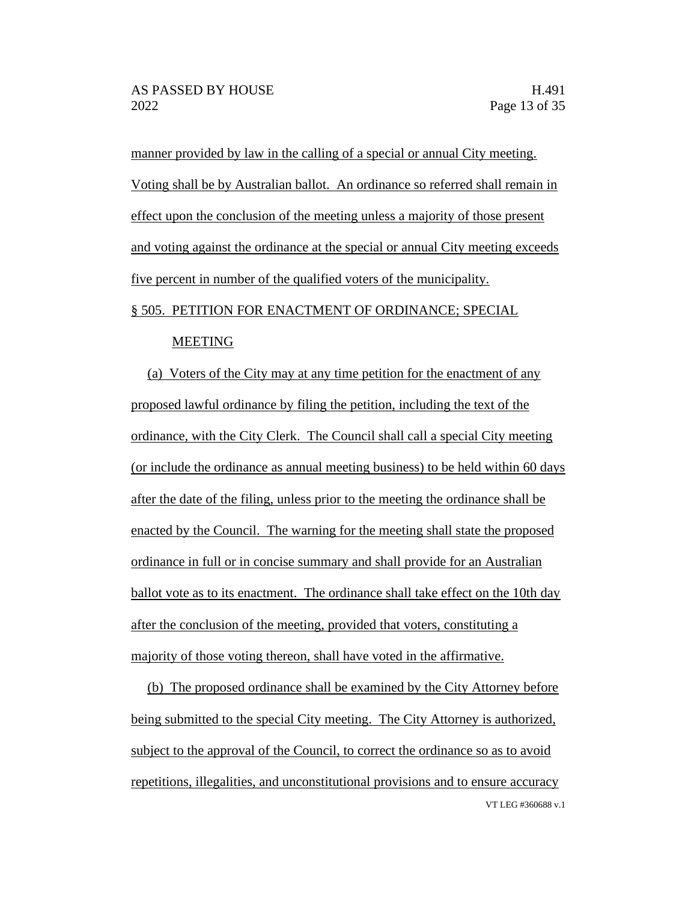manner provided by law in the calling of a special or annual City meeting. Voting shall be by Australian ballot. An ordinance so referred shall remain in effect upon the conclusion of the meeting unless a majority of those present and voting against the ordinance at the special or annual City meeting exceeds five percent in number of the qualified voters of the municipality.

# § 505. PETITION FOR ENACTMENT OF ORDINANCE; SPECIAL

#### MEETING

(a) Voters of the City may at any time petition for the enactment of any proposed lawful ordinance by filing the petition, including the text of the ordinance, with the City Clerk. The Council shall call a special City meeting (or include the ordinance as annual meeting business) to be held within 60 days after the date of the filing, unless prior to the meeting the ordinance shall be enacted by the Council. The warning for the meeting shall state the proposed ordinance in full or in concise summary and shall provide for an Australian ballot vote as to its enactment. The ordinance shall take effect on the 10th day after the conclusion of the meeting, provided that voters, constituting a majority of those voting thereon, shall have voted in the affirmative.

VT LEG #360688 v.1 (b) The proposed ordinance shall be examined by the City Attorney before being submitted to the special City meeting. The City Attorney is authorized, subject to the approval of the Council, to correct the ordinance so as to avoid repetitions, illegalities, and unconstitutional provisions and to ensure accuracy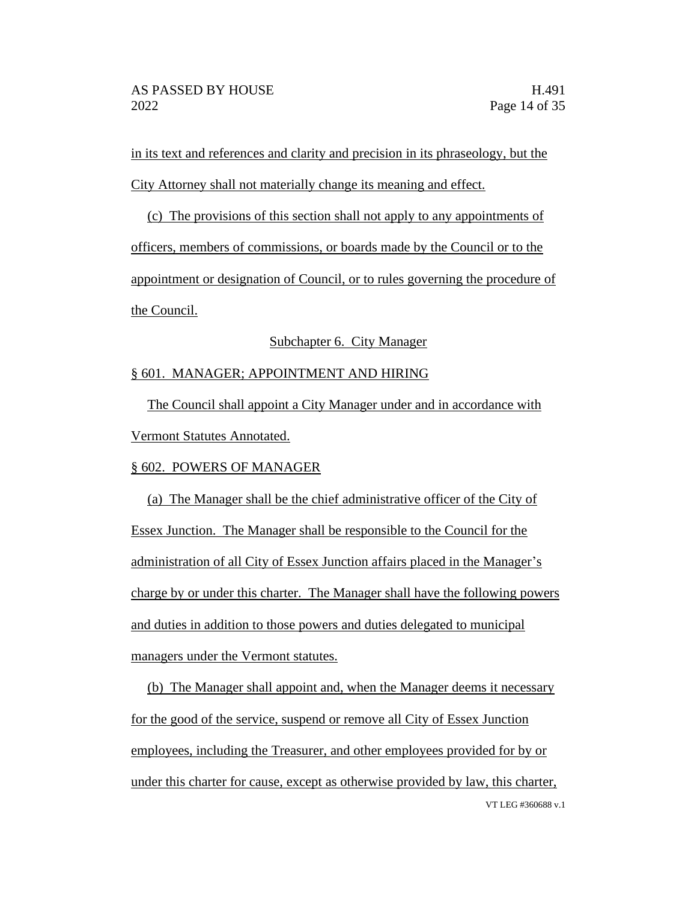in its text and references and clarity and precision in its phraseology, but the City Attorney shall not materially change its meaning and effect.

(c) The provisions of this section shall not apply to any appointments of officers, members of commissions, or boards made by the Council or to the appointment or designation of Council, or to rules governing the procedure of the Council.

# Subchapter 6. City Manager

# § 601. MANAGER; APPOINTMENT AND HIRING

The Council shall appoint a City Manager under and in accordance with Vermont Statutes Annotated.

## § 602. POWERS OF MANAGER

(a) The Manager shall be the chief administrative officer of the City of Essex Junction. The Manager shall be responsible to the Council for the administration of all City of Essex Junction affairs placed in the Manager's charge by or under this charter. The Manager shall have the following powers and duties in addition to those powers and duties delegated to municipal managers under the Vermont statutes.

VT LEG #360688 v.1 (b) The Manager shall appoint and, when the Manager deems it necessary for the good of the service, suspend or remove all City of Essex Junction employees, including the Treasurer, and other employees provided for by or under this charter for cause, except as otherwise provided by law, this charter,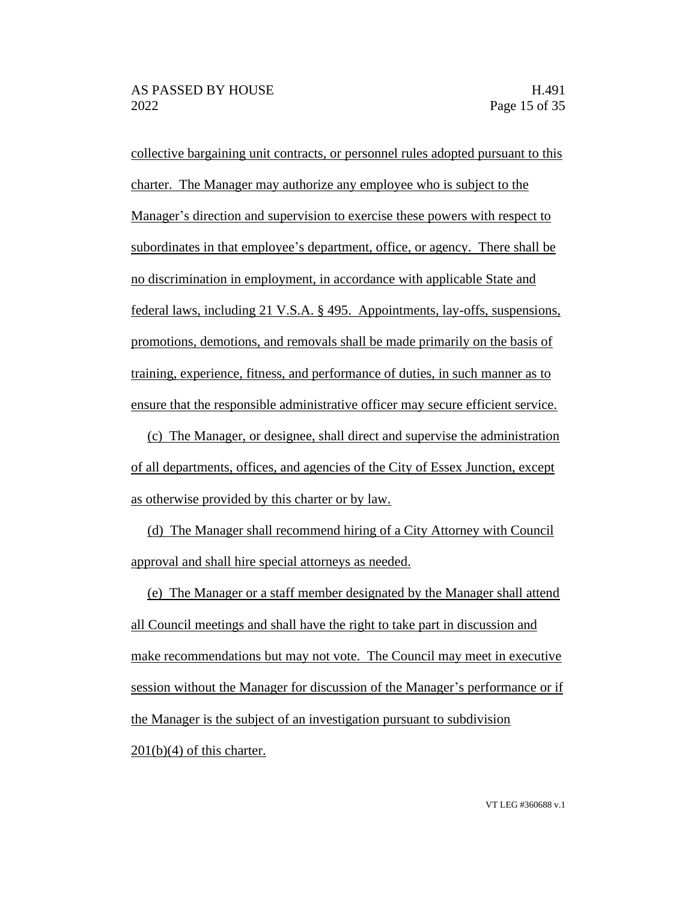collective bargaining unit contracts, or personnel rules adopted pursuant to this charter. The Manager may authorize any employee who is subject to the Manager's direction and supervision to exercise these powers with respect to subordinates in that employee's department, office, or agency. There shall be no discrimination in employment, in accordance with applicable State and federal laws, including 21 V.S.A. § 495. Appointments, lay-offs, suspensions, promotions, demotions, and removals shall be made primarily on the basis of training, experience, fitness, and performance of duties, in such manner as to ensure that the responsible administrative officer may secure efficient service.

(c) The Manager, or designee, shall direct and supervise the administration of all departments, offices, and agencies of the City of Essex Junction, except as otherwise provided by this charter or by law.

(d) The Manager shall recommend hiring of a City Attorney with Council approval and shall hire special attorneys as needed.

(e) The Manager or a staff member designated by the Manager shall attend all Council meetings and shall have the right to take part in discussion and make recommendations but may not vote. The Council may meet in executive session without the Manager for discussion of the Manager's performance or if the Manager is the subject of an investigation pursuant to subdivision  $201(b)(4)$  of this charter.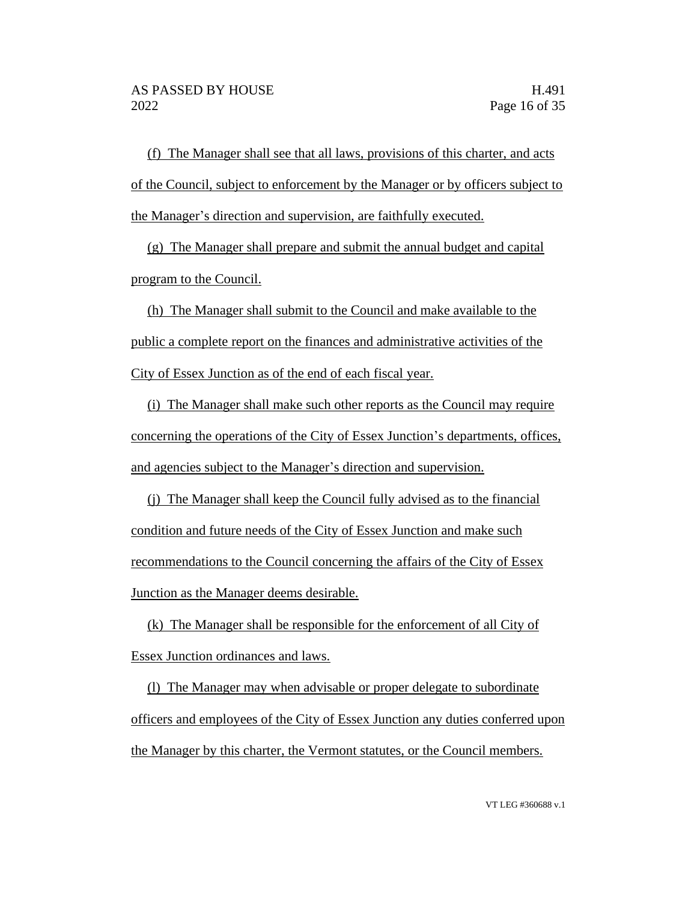(f) The Manager shall see that all laws, provisions of this charter, and acts of the Council, subject to enforcement by the Manager or by officers subject to the Manager's direction and supervision, are faithfully executed.

(g) The Manager shall prepare and submit the annual budget and capital program to the Council.

(h) The Manager shall submit to the Council and make available to the public a complete report on the finances and administrative activities of the City of Essex Junction as of the end of each fiscal year.

(i) The Manager shall make such other reports as the Council may require concerning the operations of the City of Essex Junction's departments, offices, and agencies subject to the Manager's direction and supervision.

(j) The Manager shall keep the Council fully advised as to the financial condition and future needs of the City of Essex Junction and make such recommendations to the Council concerning the affairs of the City of Essex Junction as the Manager deems desirable.

(k) The Manager shall be responsible for the enforcement of all City of Essex Junction ordinances and laws.

(l) The Manager may when advisable or proper delegate to subordinate officers and employees of the City of Essex Junction any duties conferred upon the Manager by this charter, the Vermont statutes, or the Council members.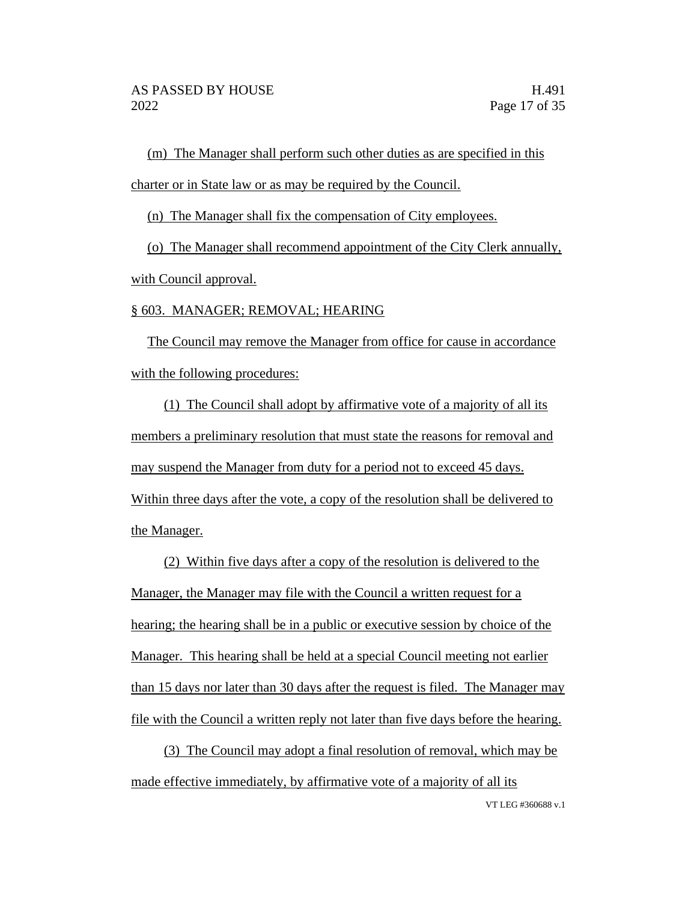(m) The Manager shall perform such other duties as are specified in this charter or in State law or as may be required by the Council.

(n) The Manager shall fix the compensation of City employees.

(o) The Manager shall recommend appointment of the City Clerk annually, with Council approval.

## § 603. MANAGER; REMOVAL; HEARING

The Council may remove the Manager from office for cause in accordance with the following procedures:

(1) The Council shall adopt by affirmative vote of a majority of all its members a preliminary resolution that must state the reasons for removal and may suspend the Manager from duty for a period not to exceed 45 days. Within three days after the vote, a copy of the resolution shall be delivered to the Manager.

(2) Within five days after a copy of the resolution is delivered to the Manager, the Manager may file with the Council a written request for a hearing; the hearing shall be in a public or executive session by choice of the Manager. This hearing shall be held at a special Council meeting not earlier than 15 days nor later than 30 days after the request is filed. The Manager may file with the Council a written reply not later than five days before the hearing.

(3) The Council may adopt a final resolution of removal, which may be made effective immediately, by affirmative vote of a majority of all its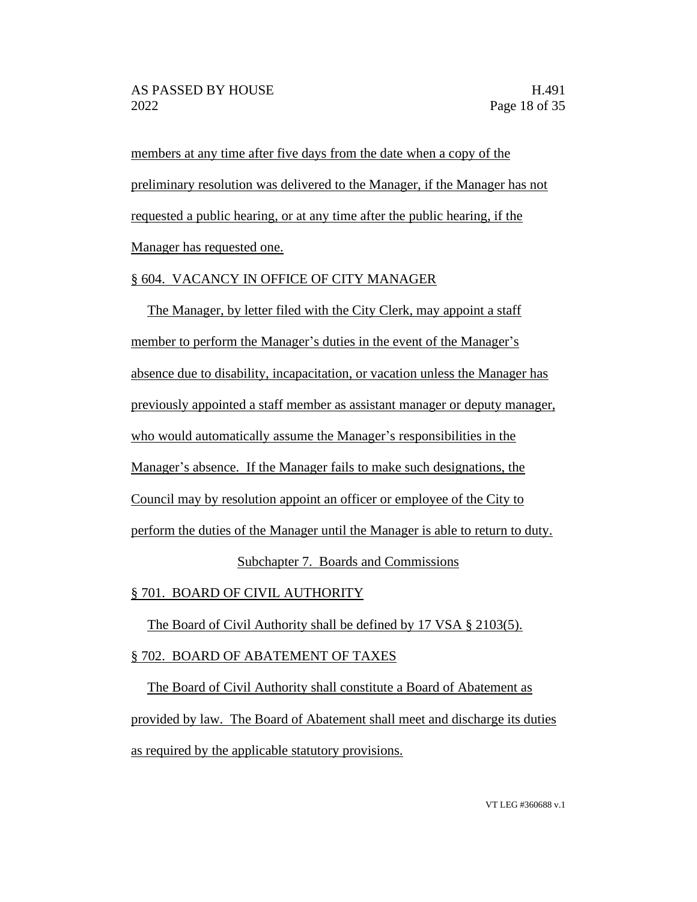members at any time after five days from the date when a copy of the preliminary resolution was delivered to the Manager, if the Manager has not requested a public hearing, or at any time after the public hearing, if the Manager has requested one.

# § 604. VACANCY IN OFFICE OF CITY MANAGER

The Manager, by letter filed with the City Clerk, may appoint a staff member to perform the Manager's duties in the event of the Manager's absence due to disability, incapacitation, or vacation unless the Manager has previously appointed a staff member as assistant manager or deputy manager, who would automatically assume the Manager's responsibilities in the Manager's absence. If the Manager fails to make such designations, the Council may by resolution appoint an officer or employee of the City to perform the duties of the Manager until the Manager is able to return to duty. Subchapter 7. Boards and Commissions

§ 701. BOARD OF CIVIL AUTHORITY

The Board of Civil Authority shall be defined by 17 VSA § 2103(5).

# § 702. BOARD OF ABATEMENT OF TAXES

The Board of Civil Authority shall constitute a Board of Abatement as provided by law. The Board of Abatement shall meet and discharge its duties as required by the applicable statutory provisions.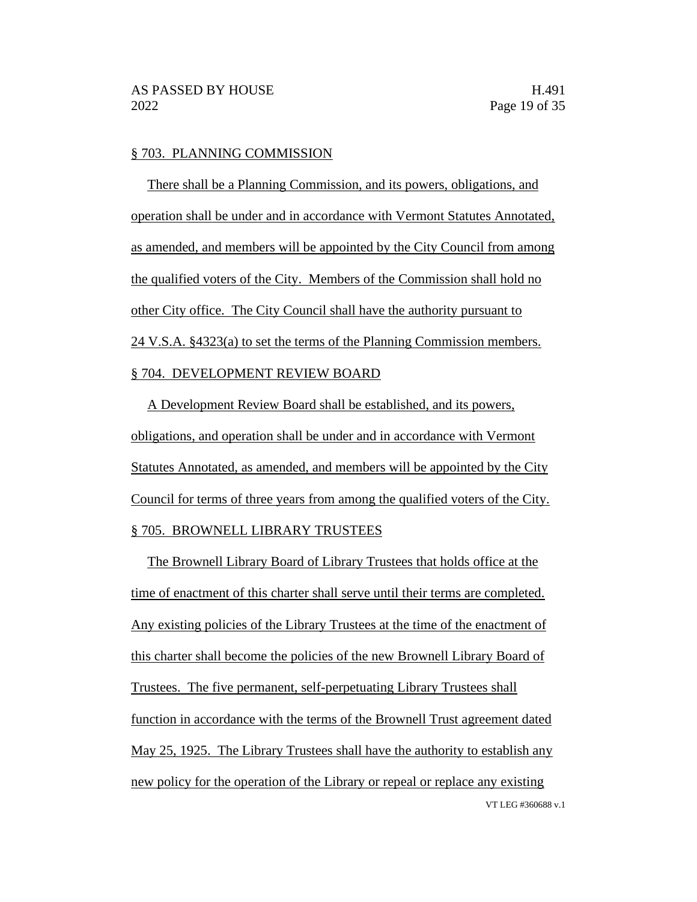#### § 703. PLANNING COMMISSION

There shall be a Planning Commission, and its powers, obligations, and operation shall be under and in accordance with Vermont Statutes Annotated, as amended, and members will be appointed by the City Council from among the qualified voters of the City. Members of the Commission shall hold no other City office. The City Council shall have the authority pursuant to 24 V.S.A. §4323(a) to set the terms of the Planning Commission members. § 704. DEVELOPMENT REVIEW BOARD

A Development Review Board shall be established, and its powers, obligations, and operation shall be under and in accordance with Vermont Statutes Annotated, as amended, and members will be appointed by the City Council for terms of three years from among the qualified voters of the City. § 705. BROWNELL LIBRARY TRUSTEES

VT LEG #360688 v.1 The Brownell Library Board of Library Trustees that holds office at the time of enactment of this charter shall serve until their terms are completed. Any existing policies of the Library Trustees at the time of the enactment of this charter shall become the policies of the new Brownell Library Board of Trustees. The five permanent, self-perpetuating Library Trustees shall function in accordance with the terms of the Brownell Trust agreement dated May 25, 1925. The Library Trustees shall have the authority to establish any new policy for the operation of the Library or repeal or replace any existing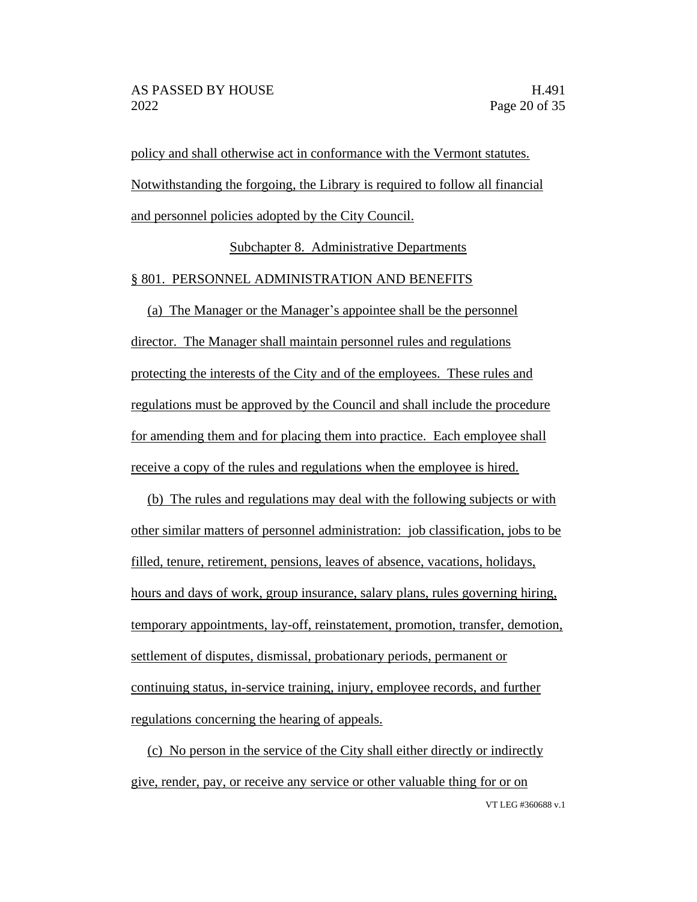policy and shall otherwise act in conformance with the Vermont statutes. Notwithstanding the forgoing, the Library is required to follow all financial and personnel policies adopted by the City Council.

Subchapter 8. Administrative Departments

#### § 801. PERSONNEL ADMINISTRATION AND BENEFITS

(a) The Manager or the Manager's appointee shall be the personnel director. The Manager shall maintain personnel rules and regulations protecting the interests of the City and of the employees. These rules and regulations must be approved by the Council and shall include the procedure for amending them and for placing them into practice. Each employee shall receive a copy of the rules and regulations when the employee is hired.

(b) The rules and regulations may deal with the following subjects or with other similar matters of personnel administration: job classification, jobs to be filled, tenure, retirement, pensions, leaves of absence, vacations, holidays, hours and days of work, group insurance, salary plans, rules governing hiring, temporary appointments, lay-off, reinstatement, promotion, transfer, demotion, settlement of disputes, dismissal, probationary periods, permanent or continuing status, in-service training, injury, employee records, and further regulations concerning the hearing of appeals.

(c) No person in the service of the City shall either directly or indirectly give, render, pay, or receive any service or other valuable thing for or on

VT LEG #360688 v.1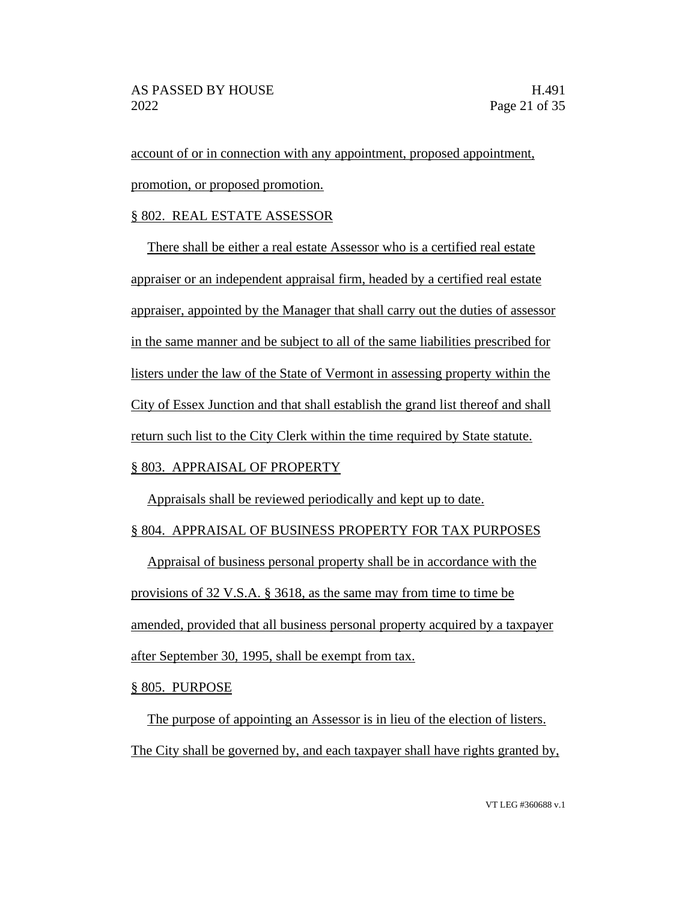account of or in connection with any appointment, proposed appointment, promotion, or proposed promotion.

# § 802. REAL ESTATE ASSESSOR

There shall be either a real estate Assessor who is a certified real estate appraiser or an independent appraisal firm, headed by a certified real estate appraiser, appointed by the Manager that shall carry out the duties of assessor in the same manner and be subject to all of the same liabilities prescribed for listers under the law of the State of Vermont in assessing property within the City of Essex Junction and that shall establish the grand list thereof and shall return such list to the City Clerk within the time required by State statute.

# § 803. APPRAISAL OF PROPERTY

Appraisals shall be reviewed periodically and kept up to date.

# § 804. APPRAISAL OF BUSINESS PROPERTY FOR TAX PURPOSES

Appraisal of business personal property shall be in accordance with the provisions of 32 V.S.A. § 3618, as the same may from time to time be amended, provided that all business personal property acquired by a taxpayer after September 30, 1995, shall be exempt from tax.

§ 805. PURPOSE

The purpose of appointing an Assessor is in lieu of the election of listers. The City shall be governed by, and each taxpayer shall have rights granted by,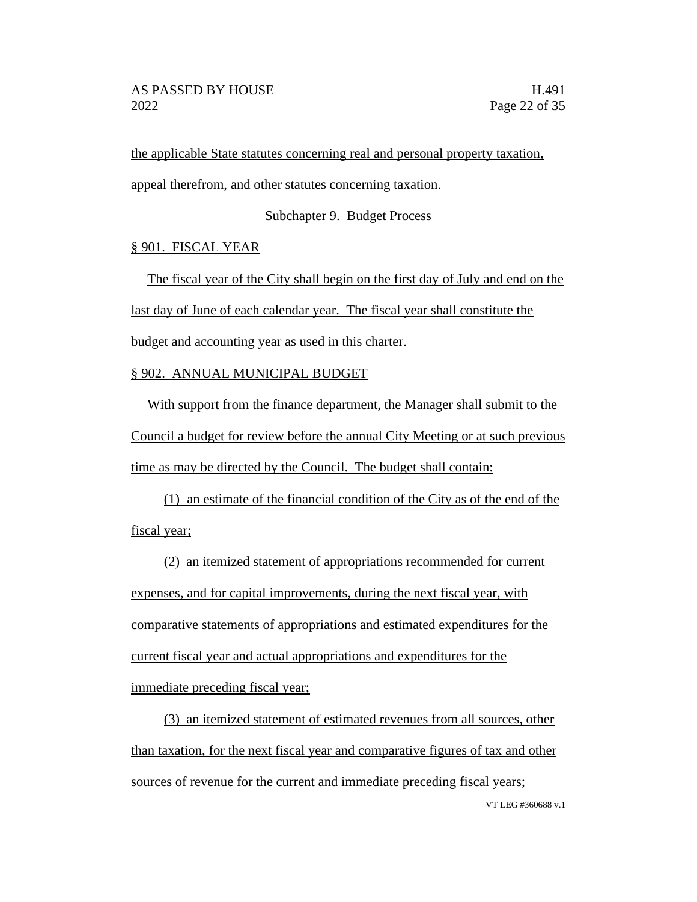the applicable State statutes concerning real and personal property taxation, appeal therefrom, and other statutes concerning taxation.

Subchapter 9. Budget Process

# § 901. FISCAL YEAR

The fiscal year of the City shall begin on the first day of July and end on the last day of June of each calendar year. The fiscal year shall constitute the budget and accounting year as used in this charter.

# § 902. ANNUAL MUNICIPAL BUDGET

With support from the finance department, the Manager shall submit to the Council a budget for review before the annual City Meeting or at such previous time as may be directed by the Council. The budget shall contain:

(1) an estimate of the financial condition of the City as of the end of the fiscal year;

(2) an itemized statement of appropriations recommended for current expenses, and for capital improvements, during the next fiscal year, with comparative statements of appropriations and estimated expenditures for the current fiscal year and actual appropriations and expenditures for the immediate preceding fiscal year;

VT LEG #360688 v.1 (3) an itemized statement of estimated revenues from all sources, other than taxation, for the next fiscal year and comparative figures of tax and other sources of revenue for the current and immediate preceding fiscal years;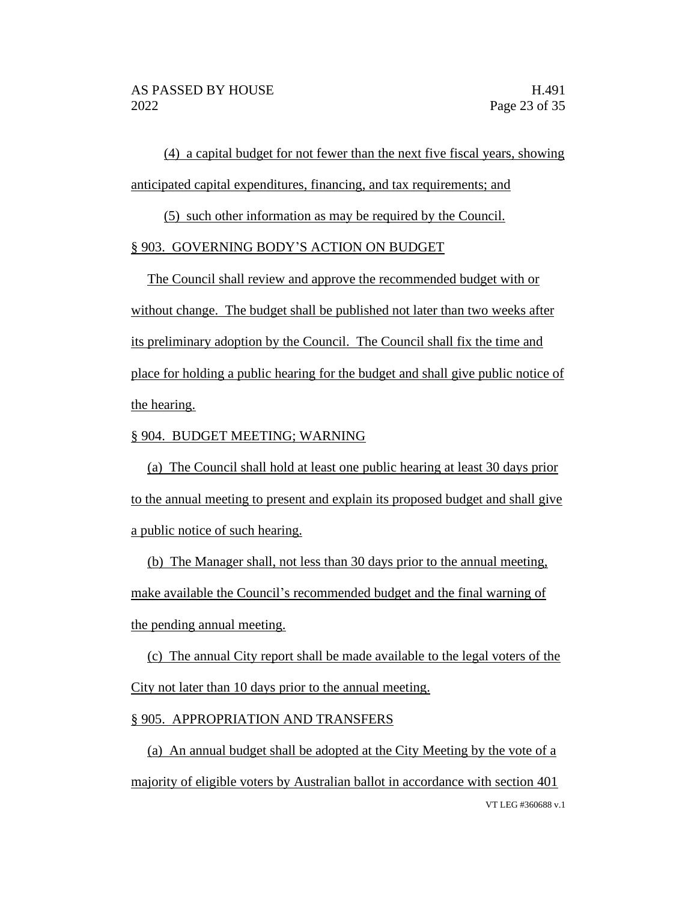(4) a capital budget for not fewer than the next five fiscal years, showing anticipated capital expenditures, financing, and tax requirements; and

(5) such other information as may be required by the Council.

## § 903. GOVERNING BODY'S ACTION ON BUDGET

The Council shall review and approve the recommended budget with or without change. The budget shall be published not later than two weeks after its preliminary adoption by the Council. The Council shall fix the time and place for holding a public hearing for the budget and shall give public notice of the hearing.

## § 904. BUDGET MEETING; WARNING

(a) The Council shall hold at least one public hearing at least 30 days prior to the annual meeting to present and explain its proposed budget and shall give a public notice of such hearing.

(b) The Manager shall, not less than 30 days prior to the annual meeting, make available the Council's recommended budget and the final warning of the pending annual meeting.

(c) The annual City report shall be made available to the legal voters of the City not later than 10 days prior to the annual meeting.

## § 905. APPROPRIATION AND TRANSFERS

VT LEG #360688 v.1 (a) An annual budget shall be adopted at the City Meeting by the vote of a majority of eligible voters by Australian ballot in accordance with section 401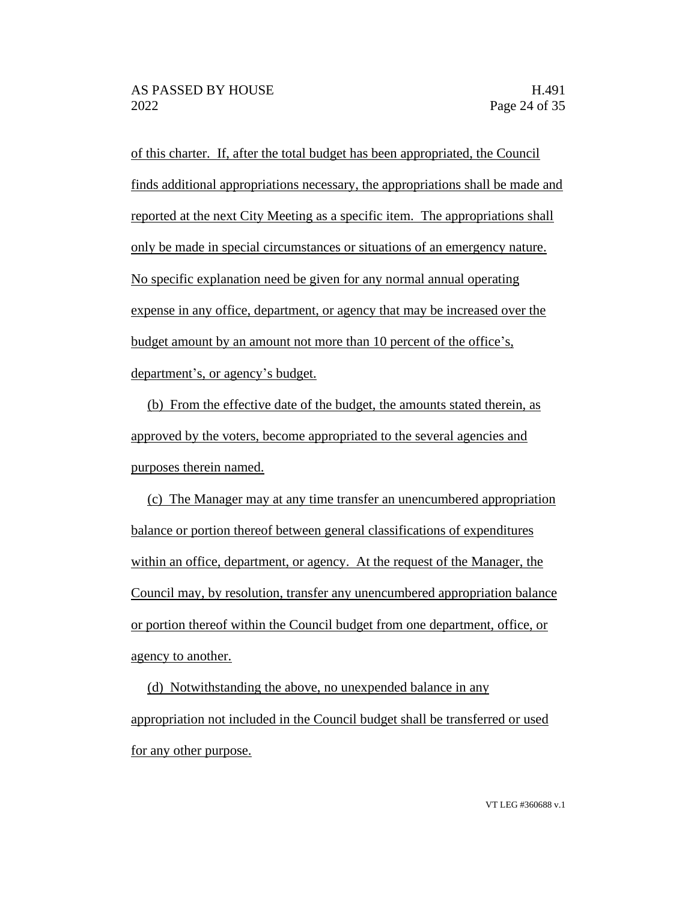of this charter. If, after the total budget has been appropriated, the Council finds additional appropriations necessary, the appropriations shall be made and reported at the next City Meeting as a specific item. The appropriations shall only be made in special circumstances or situations of an emergency nature. No specific explanation need be given for any normal annual operating expense in any office, department, or agency that may be increased over the budget amount by an amount not more than 10 percent of the office's, department's, or agency's budget.

(b) From the effective date of the budget, the amounts stated therein, as approved by the voters, become appropriated to the several agencies and purposes therein named.

(c) The Manager may at any time transfer an unencumbered appropriation balance or portion thereof between general classifications of expenditures within an office, department, or agency. At the request of the Manager, the Council may, by resolution, transfer any unencumbered appropriation balance or portion thereof within the Council budget from one department, office, or agency to another.

(d) Notwithstanding the above, no unexpended balance in any appropriation not included in the Council budget shall be transferred or used for any other purpose.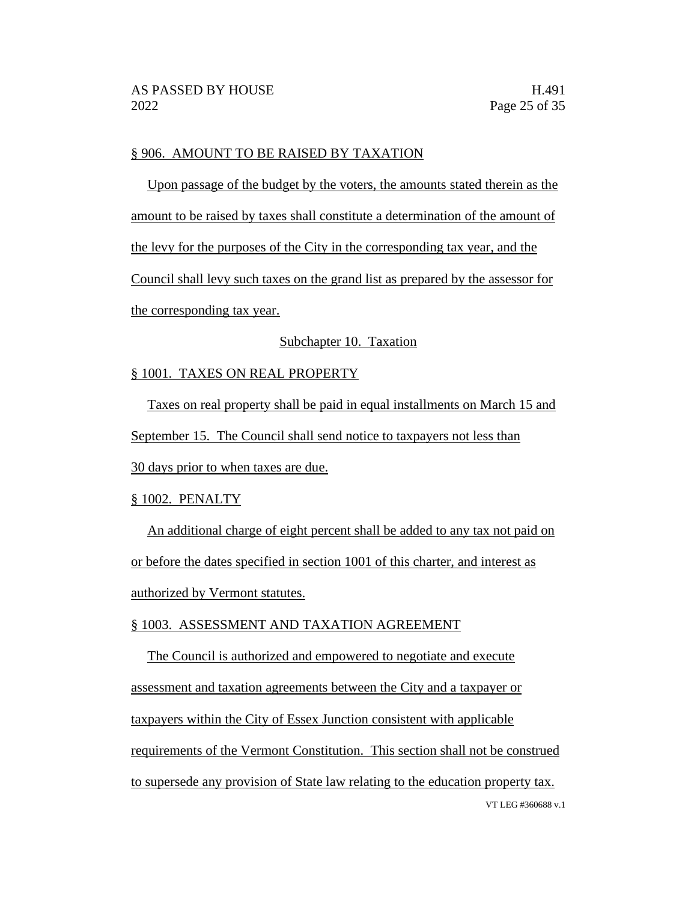## § 906. AMOUNT TO BE RAISED BY TAXATION

Upon passage of the budget by the voters, the amounts stated therein as the amount to be raised by taxes shall constitute a determination of the amount of the levy for the purposes of the City in the corresponding tax year, and the Council shall levy such taxes on the grand list as prepared by the assessor for the corresponding tax year.

## Subchapter 10. Taxation

## § 1001. TAXES ON REAL PROPERTY

Taxes on real property shall be paid in equal installments on March 15 and

September 15. The Council shall send notice to taxpayers not less than

30 days prior to when taxes are due.

## § 1002. PENALTY

An additional charge of eight percent shall be added to any tax not paid on or before the dates specified in section 1001 of this charter, and interest as authorized by Vermont statutes.

## § 1003. ASSESSMENT AND TAXATION AGREEMENT

VT LEG #360688 v.1 The Council is authorized and empowered to negotiate and execute assessment and taxation agreements between the City and a taxpayer or taxpayers within the City of Essex Junction consistent with applicable requirements of the Vermont Constitution. This section shall not be construed to supersede any provision of State law relating to the education property tax.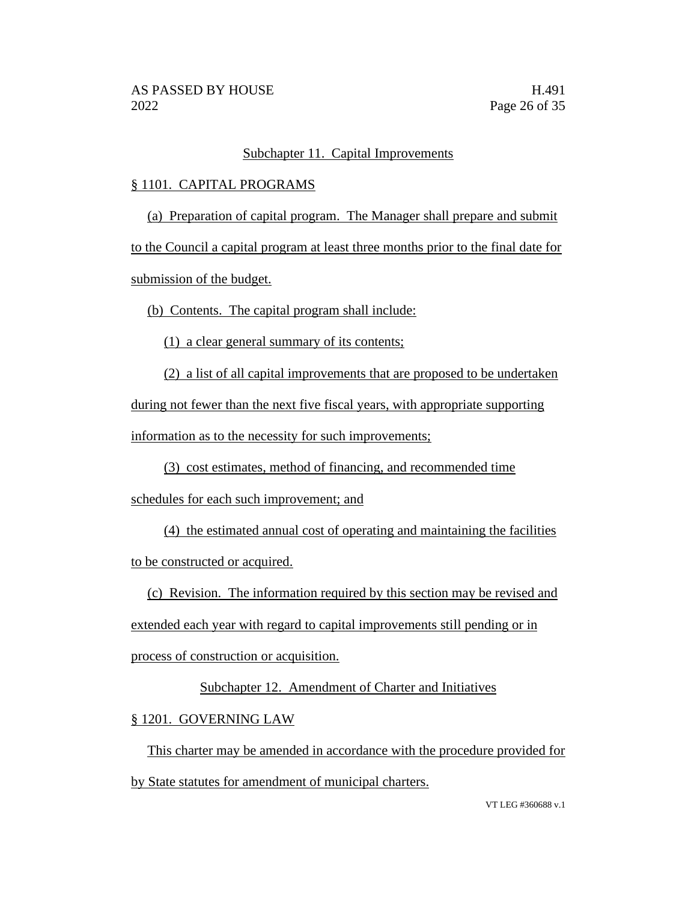# Subchapter 11. Capital Improvements

# § 1101. CAPITAL PROGRAMS

(a) Preparation of capital program. The Manager shall prepare and submit

to the Council a capital program at least three months prior to the final date for

submission of the budget.

(b) Contents. The capital program shall include:

(1) a clear general summary of its contents;

(2) a list of all capital improvements that are proposed to be undertaken during not fewer than the next five fiscal years, with appropriate supporting information as to the necessity for such improvements;

(3) cost estimates, method of financing, and recommended time

schedules for each such improvement; and

(4) the estimated annual cost of operating and maintaining the facilities to be constructed or acquired.

(c) Revision. The information required by this section may be revised and

extended each year with regard to capital improvements still pending or in

process of construction or acquisition.

# Subchapter 12. Amendment of Charter and Initiatives

§ 1201. GOVERNING LAW

This charter may be amended in accordance with the procedure provided for by State statutes for amendment of municipal charters.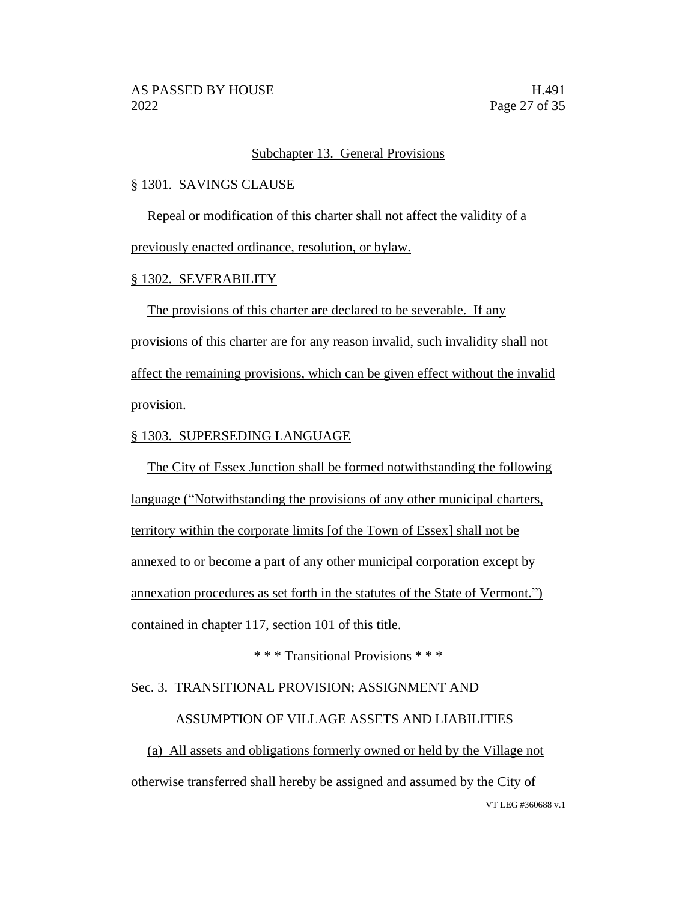## Subchapter 13. General Provisions

## § 1301. SAVINGS CLAUSE

Repeal or modification of this charter shall not affect the validity of a

previously enacted ordinance, resolution, or bylaw.

## § 1302. SEVERABILITY

The provisions of this charter are declared to be severable. If any provisions of this charter are for any reason invalid, such invalidity shall not affect the remaining provisions, which can be given effect without the invalid provision.

# § 1303. SUPERSEDING LANGUAGE

The City of Essex Junction shall be formed notwithstanding the following language ("Notwithstanding the provisions of any other municipal charters, territory within the corporate limits [of the Town of Essex] shall not be annexed to or become a part of any other municipal corporation except by annexation procedures as set forth in the statutes of the State of Vermont.") contained in chapter 117, section 101 of this title.

\* \* \* Transitional Provisions \* \* \*

# Sec. 3. TRANSITIONAL PROVISION; ASSIGNMENT AND

## ASSUMPTION OF VILLAGE ASSETS AND LIABILITIES

VT LEG #360688 v.1 (a) All assets and obligations formerly owned or held by the Village not otherwise transferred shall hereby be assigned and assumed by the City of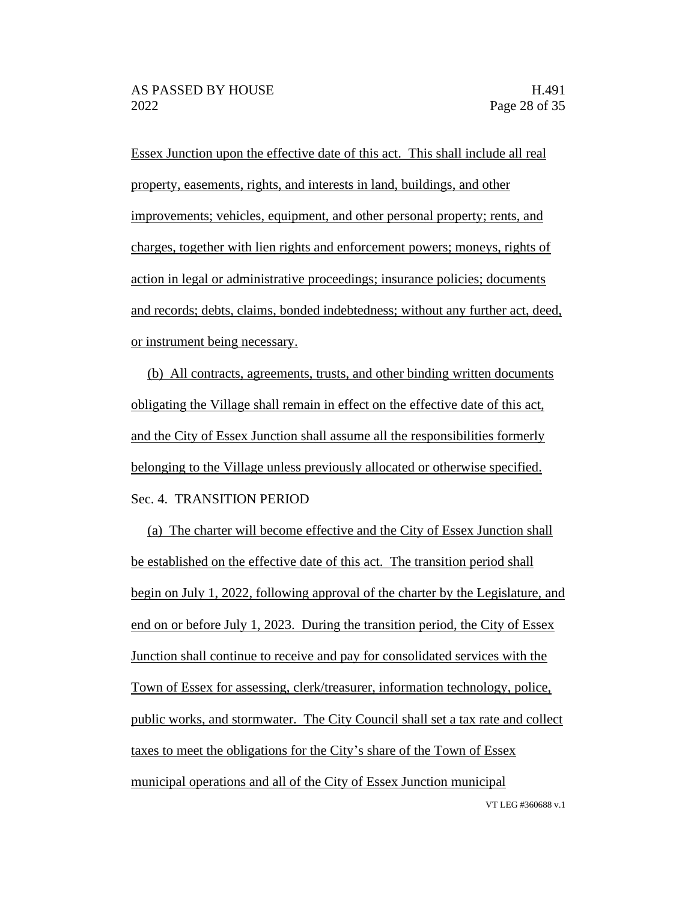Essex Junction upon the effective date of this act. This shall include all real property, easements, rights, and interests in land, buildings, and other improvements; vehicles, equipment, and other personal property; rents, and charges, together with lien rights and enforcement powers; moneys, rights of action in legal or administrative proceedings; insurance policies; documents and records; debts, claims, bonded indebtedness; without any further act, deed, or instrument being necessary.

(b) All contracts, agreements, trusts, and other binding written documents obligating the Village shall remain in effect on the effective date of this act, and the City of Essex Junction shall assume all the responsibilities formerly belonging to the Village unless previously allocated or otherwise specified. Sec. 4. TRANSITION PERIOD

(a) The charter will become effective and the City of Essex Junction shall be established on the effective date of this act. The transition period shall begin on July 1, 2022, following approval of the charter by the Legislature, and end on or before July 1, 2023. During the transition period, the City of Essex Junction shall continue to receive and pay for consolidated services with the Town of Essex for assessing, clerk/treasurer, information technology, police, public works, and stormwater. The City Council shall set a tax rate and collect taxes to meet the obligations for the City's share of the Town of Essex municipal operations and all of the City of Essex Junction municipal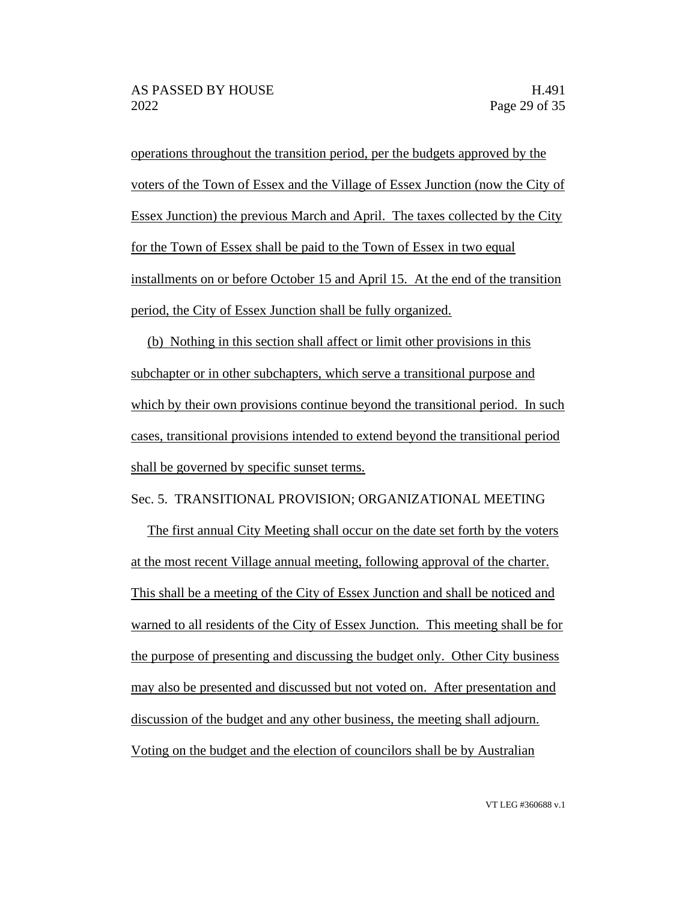operations throughout the transition period, per the budgets approved by the voters of the Town of Essex and the Village of Essex Junction (now the City of Essex Junction) the previous March and April. The taxes collected by the City for the Town of Essex shall be paid to the Town of Essex in two equal installments on or before October 15 and April 15. At the end of the transition period, the City of Essex Junction shall be fully organized.

(b) Nothing in this section shall affect or limit other provisions in this subchapter or in other subchapters, which serve a transitional purpose and which by their own provisions continue beyond the transitional period. In such cases, transitional provisions intended to extend beyond the transitional period shall be governed by specific sunset terms.

Sec. 5. TRANSITIONAL PROVISION; ORGANIZATIONAL MEETING

The first annual City Meeting shall occur on the date set forth by the voters at the most recent Village annual meeting, following approval of the charter. This shall be a meeting of the City of Essex Junction and shall be noticed and warned to all residents of the City of Essex Junction. This meeting shall be for the purpose of presenting and discussing the budget only. Other City business may also be presented and discussed but not voted on. After presentation and discussion of the budget and any other business, the meeting shall adjourn. Voting on the budget and the election of councilors shall be by Australian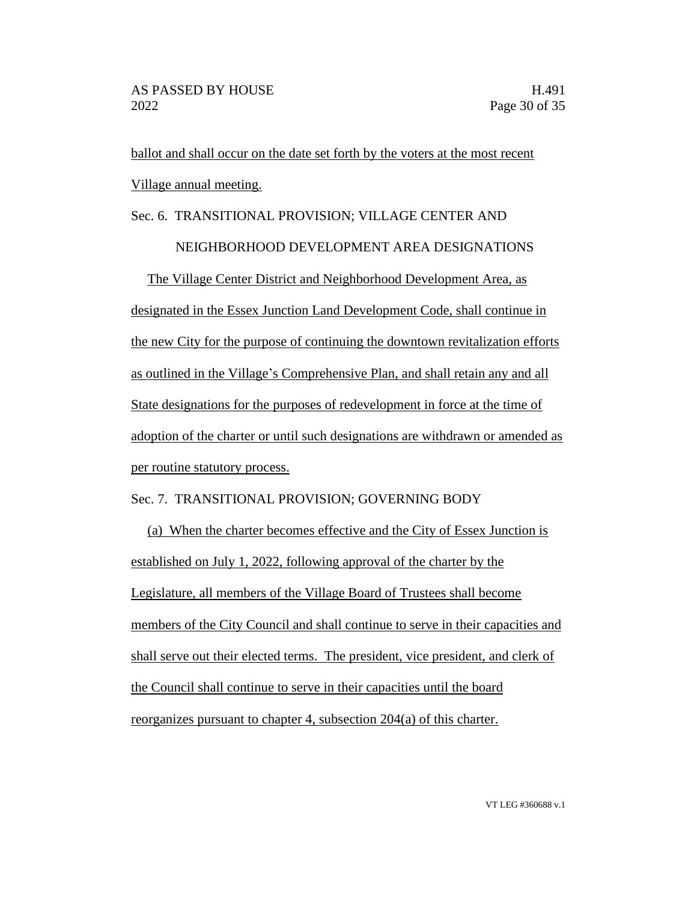ballot and shall occur on the date set forth by the voters at the most recent Village annual meeting.

# Sec. 6. TRANSITIONAL PROVISION; VILLAGE CENTER AND

## NEIGHBORHOOD DEVELOPMENT AREA DESIGNATIONS

The Village Center District and Neighborhood Development Area, as designated in the Essex Junction Land Development Code, shall continue in the new City for the purpose of continuing the downtown revitalization efforts as outlined in the Village's Comprehensive Plan, and shall retain any and all State designations for the purposes of redevelopment in force at the time of adoption of the charter or until such designations are withdrawn or amended as per routine statutory process.

# Sec. 7. TRANSITIONAL PROVISION; GOVERNING BODY

(a) When the charter becomes effective and the City of Essex Junction is established on July 1, 2022, following approval of the charter by the Legislature, all members of the Village Board of Trustees shall become members of the City Council and shall continue to serve in their capacities and shall serve out their elected terms. The president, vice president, and clerk of the Council shall continue to serve in their capacities until the board reorganizes pursuant to chapter 4, subsection 204(a) of this charter.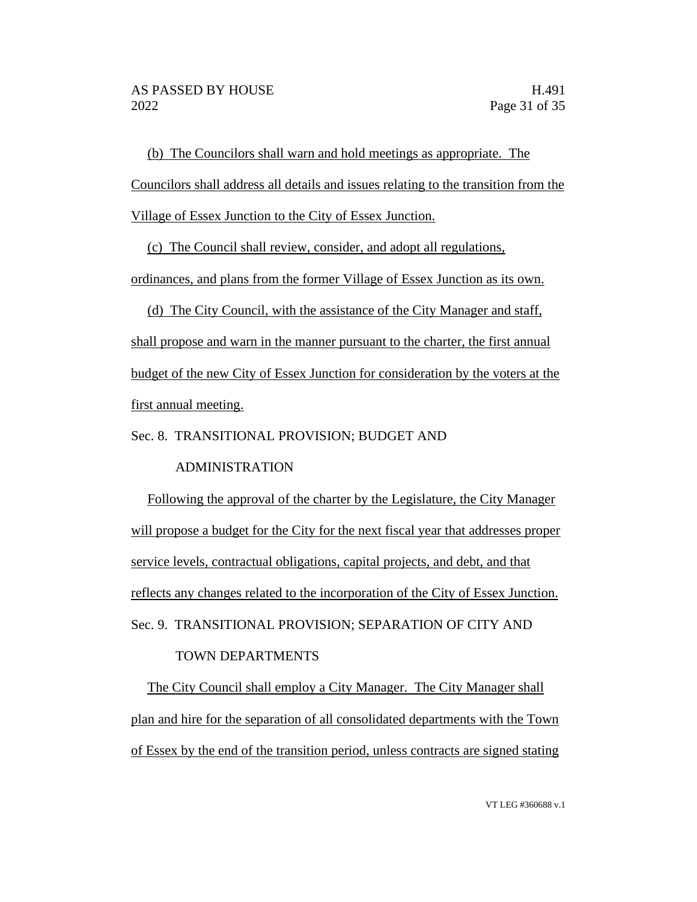(b) The Councilors shall warn and hold meetings as appropriate. The Councilors shall address all details and issues relating to the transition from the Village of Essex Junction to the City of Essex Junction.

(c) The Council shall review, consider, and adopt all regulations,

ordinances, and plans from the former Village of Essex Junction as its own.

(d) The City Council, with the assistance of the City Manager and staff, shall propose and warn in the manner pursuant to the charter, the first annual budget of the new City of Essex Junction for consideration by the voters at the first annual meeting.

Sec. 8. TRANSITIONAL PROVISION; BUDGET AND

ADMINISTRATION

Following the approval of the charter by the Legislature, the City Manager will propose a budget for the City for the next fiscal year that addresses proper service levels, contractual obligations, capital projects, and debt, and that reflects any changes related to the incorporation of the City of Essex Junction. Sec. 9. TRANSITIONAL PROVISION; SEPARATION OF CITY AND

# TOWN DEPARTMENTS

The City Council shall employ a City Manager. The City Manager shall plan and hire for the separation of all consolidated departments with the Town of Essex by the end of the transition period, unless contracts are signed stating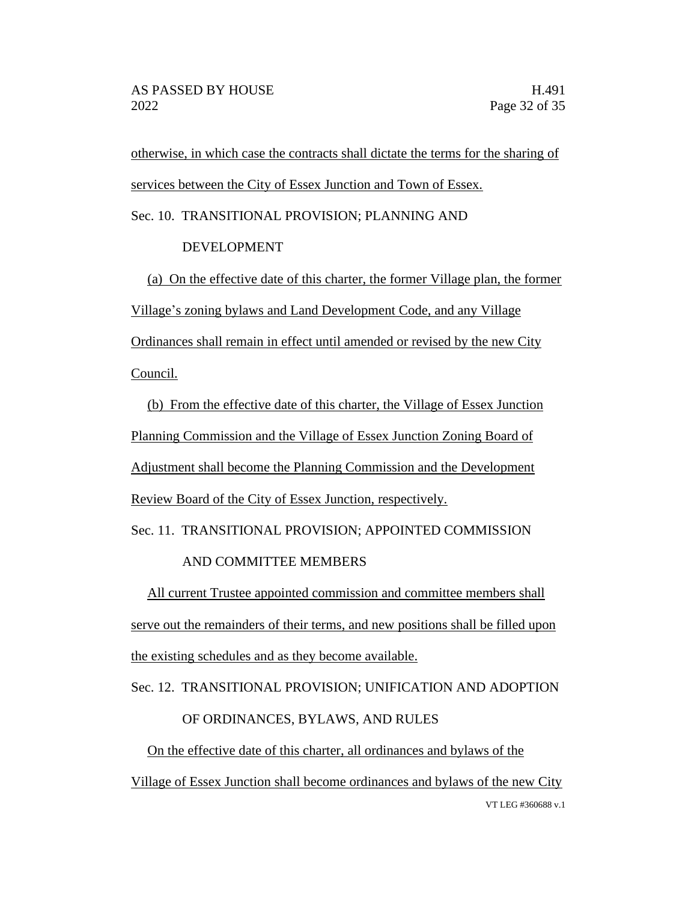otherwise, in which case the contracts shall dictate the terms for the sharing of services between the City of Essex Junction and Town of Essex.

Sec. 10. TRANSITIONAL PROVISION; PLANNING AND

# DEVELOPMENT

(a) On the effective date of this charter, the former Village plan, the former Village's zoning bylaws and Land Development Code, and any Village Ordinances shall remain in effect until amended or revised by the new City Council.

(b) From the effective date of this charter, the Village of Essex Junction Planning Commission and the Village of Essex Junction Zoning Board of Adjustment shall become the Planning Commission and the Development Review Board of the City of Essex Junction, respectively.

Sec. 11. TRANSITIONAL PROVISION; APPOINTED COMMISSION

# AND COMMITTEE MEMBERS

All current Trustee appointed commission and committee members shall serve out the remainders of their terms, and new positions shall be filled upon the existing schedules and as they become available.

Sec. 12. TRANSITIONAL PROVISION; UNIFICATION AND ADOPTION

# OF ORDINANCES, BYLAWS, AND RULES

VT LEG #360688 v.1 On the effective date of this charter, all ordinances and bylaws of the Village of Essex Junction shall become ordinances and bylaws of the new City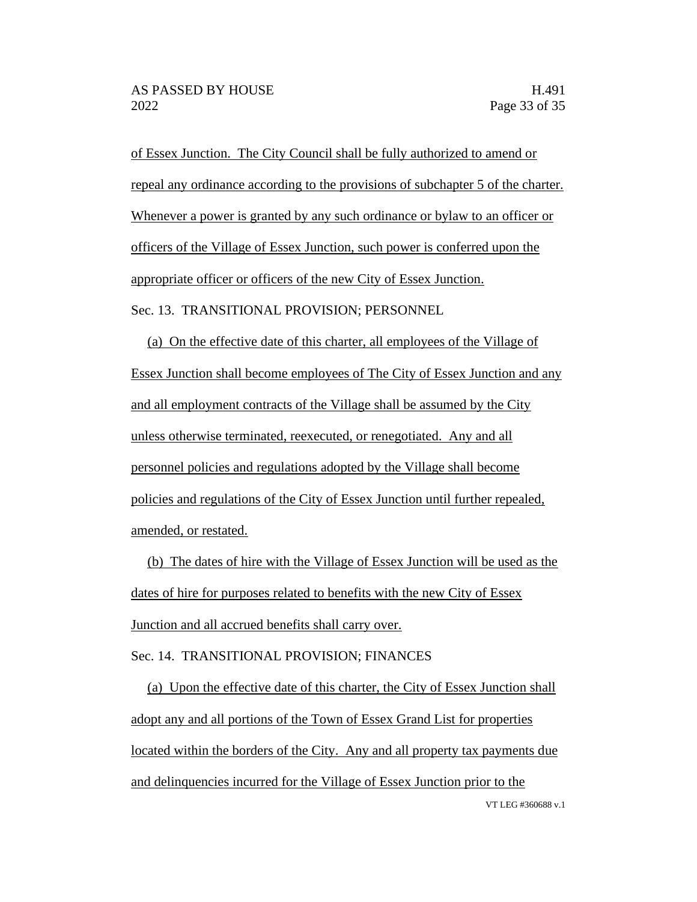of Essex Junction. The City Council shall be fully authorized to amend or repeal any ordinance according to the provisions of subchapter 5 of the charter. Whenever a power is granted by any such ordinance or bylaw to an officer or officers of the Village of Essex Junction, such power is conferred upon the appropriate officer or officers of the new City of Essex Junction. Sec. 13. TRANSITIONAL PROVISION; PERSONNEL

(a) On the effective date of this charter, all employees of the Village of Essex Junction shall become employees of The City of Essex Junction and any and all employment contracts of the Village shall be assumed by the City unless otherwise terminated, reexecuted, or renegotiated. Any and all personnel policies and regulations adopted by the Village shall become policies and regulations of the City of Essex Junction until further repealed, amended, or restated.

(b) The dates of hire with the Village of Essex Junction will be used as the dates of hire for purposes related to benefits with the new City of Essex Junction and all accrued benefits shall carry over.

Sec. 14. TRANSITIONAL PROVISION; FINANCES

VT LEG #360688 v.1 (a) Upon the effective date of this charter, the City of Essex Junction shall adopt any and all portions of the Town of Essex Grand List for properties located within the borders of the City. Any and all property tax payments due and delinquencies incurred for the Village of Essex Junction prior to the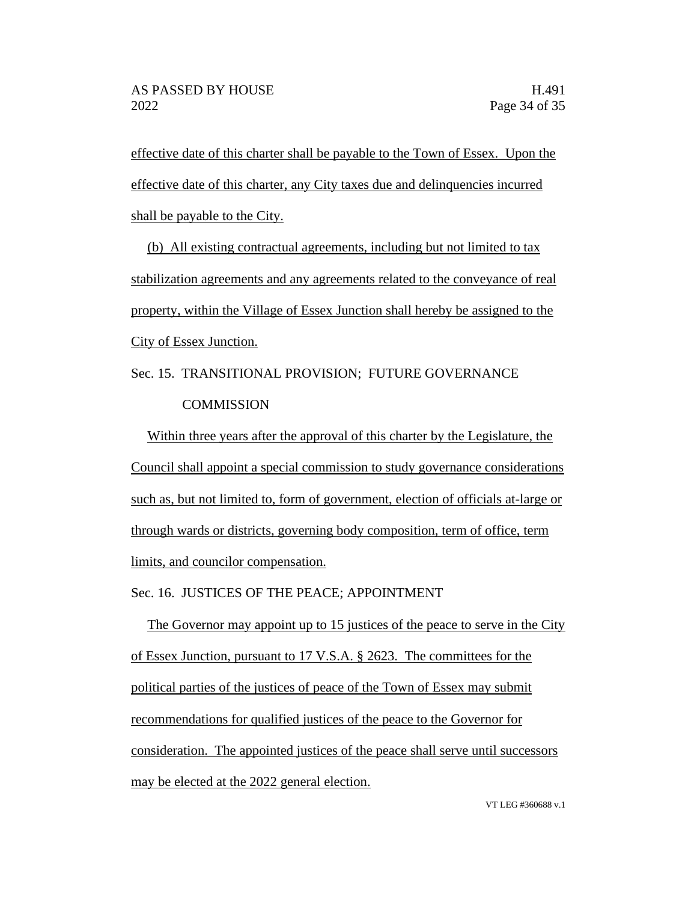effective date of this charter shall be payable to the Town of Essex. Upon the effective date of this charter, any City taxes due and delinquencies incurred shall be payable to the City.

(b) All existing contractual agreements, including but not limited to tax stabilization agreements and any agreements related to the conveyance of real property, within the Village of Essex Junction shall hereby be assigned to the City of Essex Junction.

Sec. 15. TRANSITIONAL PROVISION; FUTURE GOVERNANCE **COMMISSION** 

Within three years after the approval of this charter by the Legislature, the Council shall appoint a special commission to study governance considerations such as, but not limited to, form of government, election of officials at-large or through wards or districts, governing body composition, term of office, term limits, and councilor compensation.

Sec. 16. JUSTICES OF THE PEACE; APPOINTMENT

The Governor may appoint up to 15 justices of the peace to serve in the City of Essex Junction, pursuant to 17 V.S.A. § 2623. The committees for the political parties of the justices of peace of the Town of Essex may submit recommendations for qualified justices of the peace to the Governor for consideration. The appointed justices of the peace shall serve until successors may be elected at the 2022 general election.